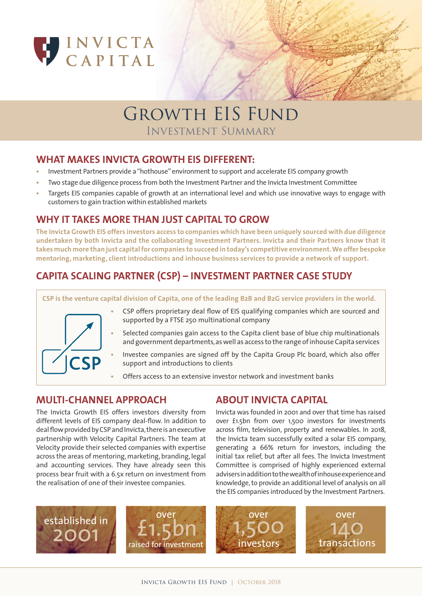

# GROWTH EIS FUND Investment Summary

## **WHAT MAKES INVICTA GROWTH EIS DIFFERENT:**

- Investment Partners provide a "hothouse" environment to support and accelerate EIS company growth
- Two stage due diligence process from both the Investment Partner and the Invicta Investment Committee
- Targets EIS companies capable of growth at an international level and which use innovative ways to engage with customers to gain traction within established markets

## **WHY IT TAKES MORE THAN JUST CAPITAL TO GROW**

The Invicta Growth EIS offers investors access to companies which have been uniquely sourced with due diligence **undertaken by both Invicta and the collaborating Investment Partners. Invicta and their Partners know that it takes much more than just capitalfor companies to succeed in today's competitive environment.We offer bespoke mentoring, marketing, client introductions and inhouse business services to provide a network of support.**

# **CAPITA SCALING PARTNER (CSP) – INVESTMENT PARTNER CASE STUDY**

CSP is the venture capital division of Capita, one of the leading B2B and B2G service providers in the world.



- CSP offers proprietary deal flow of EIS qualifying companies which are sourced and supported by a FTSE 250 multinational company
- Selected companies gain access to the Capita client base of blue chip multinationals and government departments, as well as access to the range of inhouse Capita services
- Investee companies are signed off by the Capita Group Plc board, which also offer support and introductions to clients
- **Offers access to an extensive investor network and investment banks**

#### **MULTI-CHANNEL APPROACH**

The Invicta Growth EIS offers investors diversity from different levels of EIS company deal-flow. In addition to deal flow provided by CSP and Invicta, there is an executive partnership with Velocity Capital Partners. The team at Velocity provide their selected companies with expertise across the areas of mentoring, marketing, branding, legal and accounting services. They have already seen this process bear fruit with a 6.5x return on investment from the realisation of one of their investee companies.

# **ABOUT INVICTA CAPITAL**

Invicta was founded in 2001 and over that time has raised over £1.5bn from over 1,500 investors for investments across film, television, property and renewables. In 2018, the Invicta team successfully exited a solar EIS company, generating a 66% return for investors, including the initial tax relief, but after all fees. The Invicta Investment Committee is comprised of highly experienced external advisers in addition to the wealth of inhouse experience and knowledge, to provide an additional level of analysis on all the EIS companies introduced by the Investment Partners.